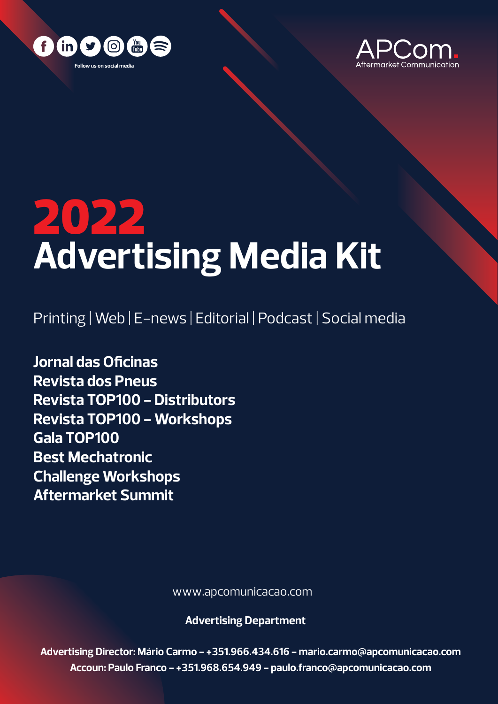



# 2022 **Advertising Media Kit**

Printing | Web | E-news | Editorial | Podcast | Social media

**Jornal das Oficinas Revista dos Pneus Revista TOP100 - Distributors Revista TOP100 - Workshops Gala TOP100 Best Mechatronic Challenge Workshops Aftermarket Summit**

www.apcomunicacao.com

**Advertising Department**

**Advertising Director: Mário Carmo - +351.966.434.616 - mario.carmo@apcomunicacao.com Accoun: Paulo Franco - +351.968.654.949 - paulo.franco@apcomunicacao.com**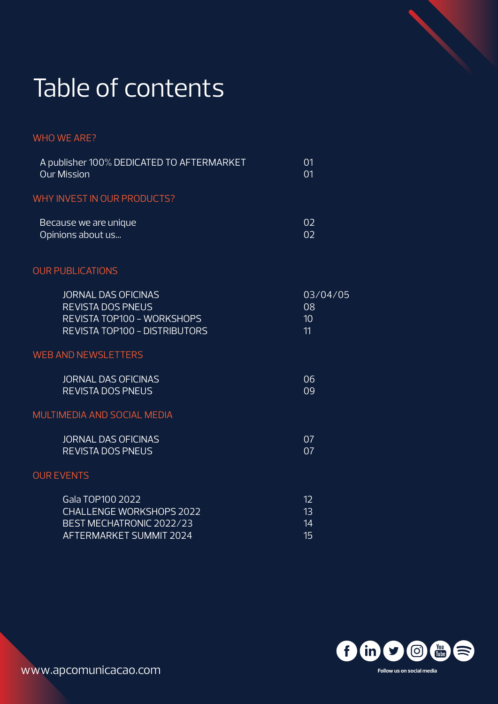## Table of contents

#### WHO WE ARE?

| A publisher 100% DEDICATED TO AFTERMARKET | 01              |
|-------------------------------------------|-----------------|
| <b>Our Mission</b>                        | 01              |
| WHY INVEST IN OUR PRODUCTS?               |                 |
| Because we are unique                     | 02              |
| Opinions about us                         | 02              |
| <b>OUR PUBLICATIONS</b>                   |                 |
| <b>JORNAL DAS OFICINAS</b>                | 03/04/05        |
| <b>REVISTA DOS PNEUS</b>                  | 08              |
| REVISTA TOP100 - WORKSHOPS                | 10 <sup>°</sup> |
| <b>REVISTA TOP100 - DISTRIBUTORS</b>      | 11              |
| <b>WEB AND NEWSLETTERS</b>                |                 |
| <b>JORNAL DAS OFICINAS</b>                | 06              |
| <b>REVISTA DOS PNEUS</b>                  | 09              |
| MULTIMEDIA AND SOCIAL MEDIA               |                 |
| <b>JORNAL DAS OFICINAS</b>                | 07              |
| <b>REVISTA DOS PNEUS</b>                  | 07              |
| <b>OUR EVENTS</b>                         |                 |
| Gala TOP100 2022                          | 12              |
| <b>CHALLENGE WORKSHOPS 2022</b>           | 13              |
| BEST MECHATRONIC 2022/23                  | 14              |
| AFTERMARKET SUMMIT 2024                   | 15              |



www.apcomunicacao.com **Follow us on Social media**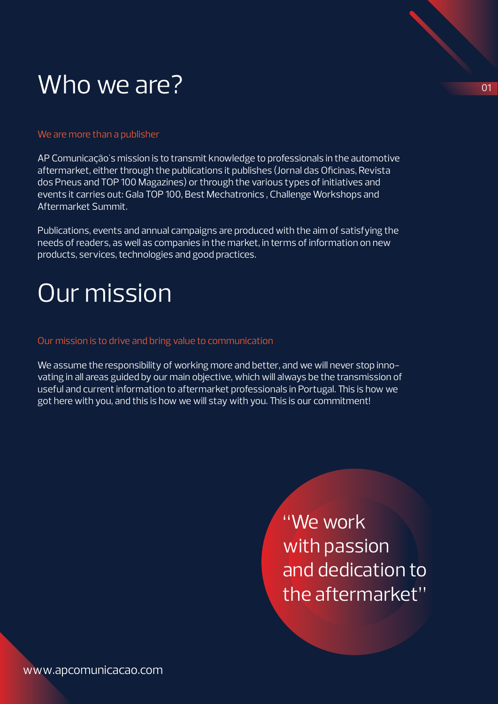## Who we are?

#### We are more than a publisher

AP Comunicação's mission is to transmit knowledge to professionals in the automotive aftermarket, either through the publications it publishes (Jornal das Oficinas, Revista dos Pneus and TOP 100 Magazines) or through the various types of initiatives and events it carries out: Gala TOP 100, Best Mechatronics , Challenge Workshops and Aftermarket Summit.

Publications, events and annual campaigns are produced with the aim of satisfying the needs of readers, as well as companies in the market, in terms of information on new products, services, technologies and good practices.

## Our mission

#### Our mission is to drive and bring value to communication

We assume the responsibility of working more and better, and we will never stop innovating in all areas guided by our main objective, which will always be the transmission of useful and current information to aftermarket professionals in Portugal. This is how we got here with you, and this is how we will stay with you. This is our commitment!

> "We work with passion and dedication to the aftermarket"

01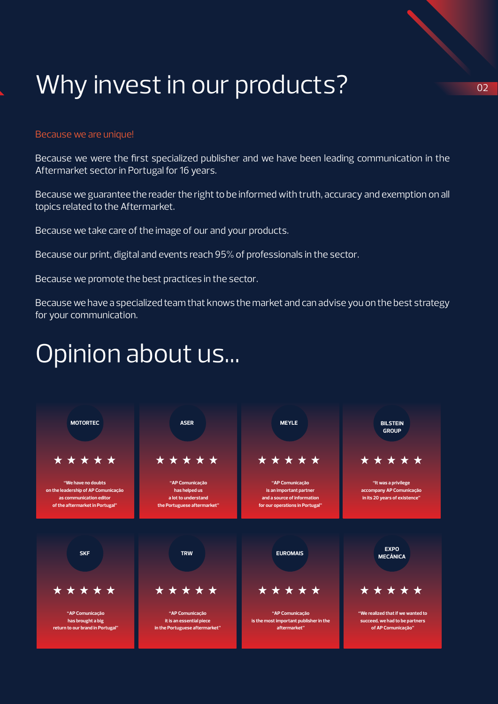## Why invest in our products?

#### Because we are unique!

Because we were the first specialized publisher and we have been leading communication in the Aftermarket sector in Portugal for 16 years.

Because we guarantee the reader the right to be informed with truth, accuracy and exemption on all topics related to the Aftermarket.

Because we take care of the image of our and your products.

Because our print, digital and events reach 95% of professionals in the sector.

Because we promote the best practices in the sector.

Because we have a specialized team that knows the market and can advise you on the best strategy for your communication.

## Opinion about us...

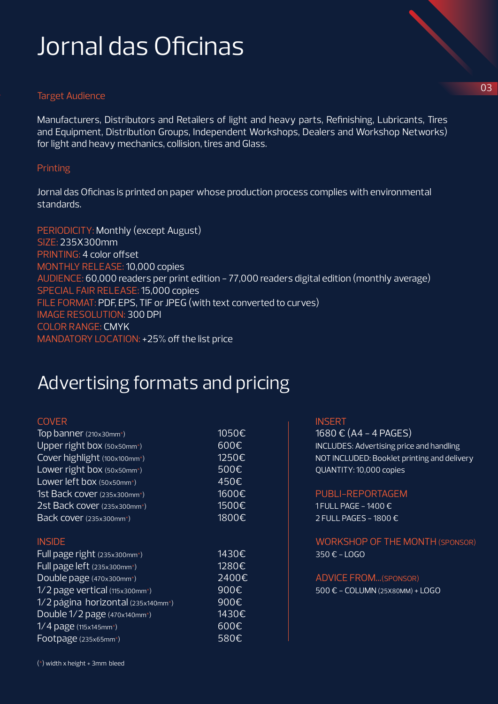## Jornal das Oficinas

#### Target Audience

Manufacturers, Distributors and Retailers of light and heavy parts, Refinishing, Lubricants, Tires and Equipment, Distribution Groups, Independent Workshops, Dealers and Workshop Networks) for light and heavy mechanics, collision, tires and Glass.

#### Printing

Jornal das Oficinas is printed on paper whose production process complies with environmental standards.

PERIODICITY: Monthly (except August) SIZE: 235X300mm PRINTING: 4 color offset MONTHLY RELEASE: 10,000 copies AUDIENCE: 60,000 readers per print edition - 77,000 readers digital edition (monthly average) SPECIAL FAIR RELEASE: 15,000 copies FILE FORMAT: PDF, EPS, TIF or JPEG (with text converted to curves) IMAGE RESOLUTION: 300 DPI COLOR RANGE: CMYK MANDATORY LOCATION: +25% off the list price

## Advertising formats and pricing

#### **COVER**

| Top banner (210x30mm*)                               | 1050€ |
|------------------------------------------------------|-------|
| Upper right box (50x50mm <sup>*</sup> )              | 600€  |
| Cover highlight (100x100mm*)                         | 1250€ |
| Lower right box (50x50mm*)                           | 500€  |
| Lower left box (50x50mm*)                            | 450€  |
| 1st Back cover (235x300mm*)                          | 1600€ |
| 2st Back cover (235x300mm*)                          | 1500€ |
| Back cover (235x300mm*)                              | 1800€ |
|                                                      |       |
| <b>INSIDE</b>                                        |       |
| Full page right (235x300mm*)                         | 1430€ |
| Full page left (235x300mm*)                          | 1280€ |
| Double page (470x300mm*)                             | 2400€ |
| 1/2 page vertical (115x300mm*)                       | 900€  |
| 1/2 página horizontal (235x140mm*)                   | 900€  |
| Double $1/2$ page (470 $\times$ 140mm <sup>*</sup> ) | 1430€ |
| $1/4$ page (115x145mm <sup>*</sup> )                 | 600€  |
| Footpage (235x65mm <sup>*</sup> )                    | 580€  |

#### INSERT

1680 € (A4 - 4 PAGES) INCLUDES: Advertising price and handling NOT INCLUDED: Booklet printing and delivery QUANTITY: 10,000 copies

#### PUBLI-REPORTAGEM

1 FULL PAGE - 1400 €  $2$  FULL PAGES - 1800 €

#### WORKSHOP OF THE MONTH (SPONSOR) 350 € - LOGO

### ADVICE FROM...(SPONSOR)

500 € - COLUMN (25X80MM) + LOGO

03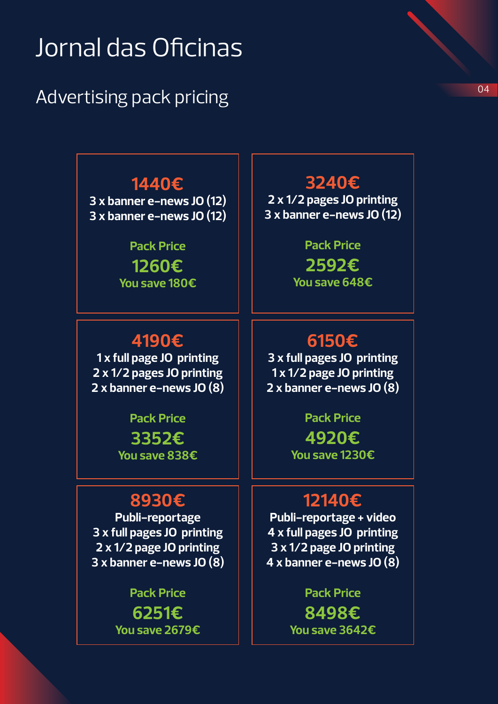## Jornal das Oficinas

## Advertising pack pricing and the contract of the contract of the contract of the contract of the contract of the contract of the contract of the contract of the contract of the contract of the contract of the contract of t

### **1440€**

**3 x banner e-news JO (12) 3 x banner e-news JO (12)** 

> **Pack Price 1260€ You save 180€**

### **4190€**

**1 x full page JO printing 2 x 1/2 pages JO printing 2 x banner e-news JO (8)** 

**Pack Price**

**3352€ You save 838€**

### **8930€**

**Publi-reportage 3 x full pages JO printing 2 x 1/2 page JO printing 3 x banner e-news JO (8)** 

### **Pack Price 6251€ You save 2679€**

**3240€**

**2 x 1/2 pages JO printing 3 x banner e-news JO (12)** 

### **Pack Price 2592€ You save 648€**

**6150€**

**3 x full pages JO printing 1 x 1/2 page JO printing 2 x banner e-news JO (8)** 

> **Pack Price 4920€ You save 1230€**

### **12140€**

**Publi-reportage + video 4 x full pages JO printing 3 x 1/2 page JO printing 4 x banner e-news JO (8)** 

> **Pack Price 8498€ You save 3642€**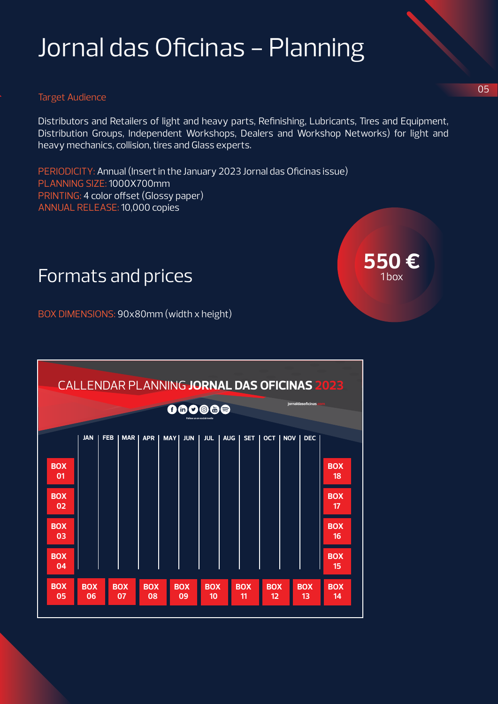## Jornal das Oficinas - Planning

#### Target Audience

Distributors and Retailers of light and heavy parts, Refinishing, Lubricants, Tires and Equipment, Distribution Groups, Independent Workshops, Dealers and Workshop Networks) for light and heavy mechanics, collision, tires and Glass experts.

PERIODICITY: Annual (Insert in the January 2023 Jornal das Oficinas issue) PLANNING SIZE: 1000X700mm PRINTING: 4 color offset (Glossy paper) ANNUAL RELEASE: 10,000 copies



## Formats and prices

BOX DIMENSIONS: 90x80mm (width x height)

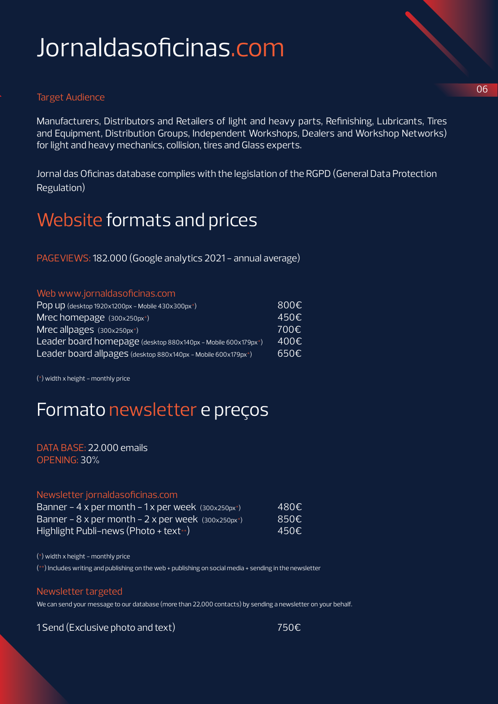## Jornaldasoficinas.com

#### Target Audience

Manufacturers, Distributors and Retailers of light and heavy parts, Refinishing, Lubricants, Tires and Equipment, Distribution Groups, Independent Workshops, Dealers and Workshop Networks) for light and heavy mechanics, collision, tires and Glass experts.

Jornal das Oficinas database complies with the legislation of the RGPD (General Data Protection Regulation)

### Website formats and prices

PAGEVIEWS: 182.000 (Google analytics 2021 - annual average)

#### Web www.jornaldasoficinas.com

| Pop up (desktop 1920x1200px - Mobile $430x300px^*$ )                       | 800€ |
|----------------------------------------------------------------------------|------|
| Mrechomepage (300x250px*)                                                  | 450€ |
| Mrec allpages $(300x250px^*)$                                              | 700€ |
| Leader board homepage (desktop 880x140px - Mobile 600x179px <sup>+</sup> ) | 400€ |
| Leader board allpages (desktop 880x140px - Mobile 600x179px <sup>*</sup> ) | 650€ |

 $(*)$  width x height - monthly price

## Formato newsletter e preços

DATA BASE: 22.000 emails OPENING: 30%

#### Newsletter jornaldasoficinas.com

| Banner – 4 x per month – 1 x per week $(300 \times 250)$  | -480€\            |
|-----------------------------------------------------------|-------------------|
| Banner – 8 x per month – $2 \times$ per week (300x250px*) | .850 <sub>ε</sub> |
| Highlight Publi-news (Photo + text **)                    | $-450 \in$        |

 $(*)$  width x height - monthly price

 $(**)$  Includes writing and publishing on the web + publishing on social media + sending in the newsletter

#### Newsletter targeted

We can send your message to our database (more than 22,000 contacts) by sending a newsletter on your behalf.

1 Send (Exclusive photo and text)  $\overline{750}$ €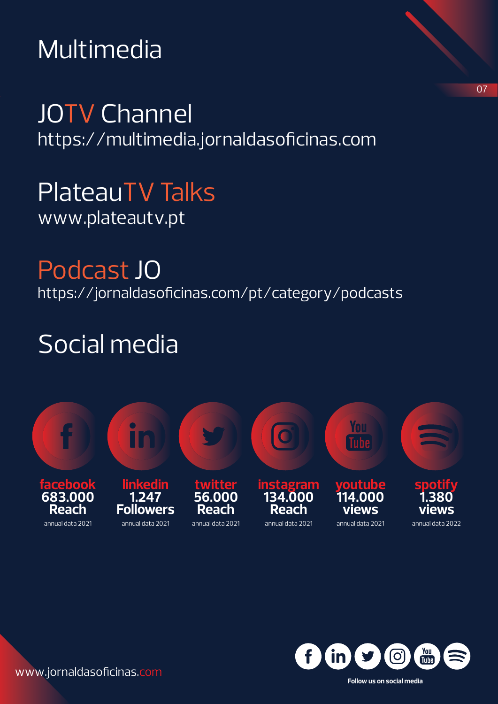Multimedia

JOTV Channel https://multimedia.jornaldasoficinas.com

PlateauTV Talks www.plateautv.pt

Podcast JO https://jornaldasoficinas.com/pt/category/podcasts

## Social media





07

www.jornaldasoficinas.com

**Follow us on social media**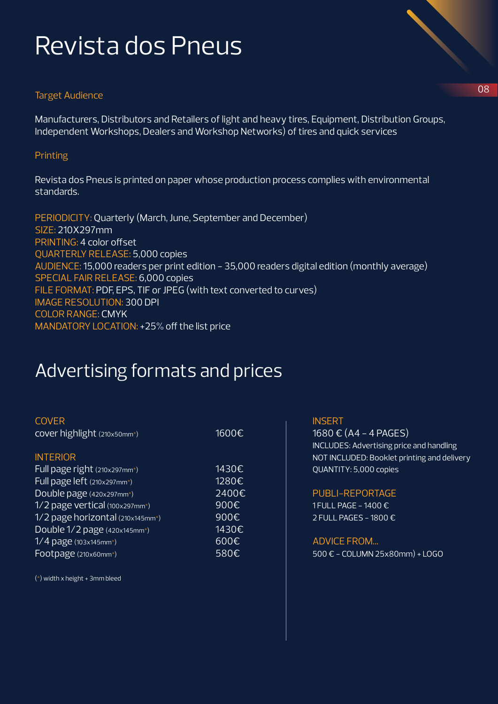## Revista dos Pneus

#### Target Audience

Manufacturers, Distributors and Retailers of light and heavy tires, Equipment, Distribution Groups, Independent Workshops, Dealers and Workshop Networks) of tires and quick services

#### Printing

Revista dos Pneus is printed on paper whose production process complies with environmental standards.

PERIODICITY: Quarterly (March, June, September and December) SIZE: 210X297mm PRINTING: 4 color offset QUARTERLY RELEASE: 5,000 copies AUDIENCE: 15,000 readers per print edition - 35,000 readers digital edition (monthly average) SPECIAL FAIR RELEASE: 6,000 copies FILE FORMAT: PDF, EPS, TIF or JPEG (with text converted to curves) IMAGE RESOLUTION: 300 DPI COLOR RANGE: CMYK MANDATORY LOCATION: +25% off the list price

### Advertising formats and prices

| <b>COVER</b>                     |       |
|----------------------------------|-------|
| cover highlight (210x50mm*)      | 1600€ |
| <b>INTERIOR</b>                  |       |
| Full page right (210x297mm*)     | 1430€ |
| Full page left (210x297mm*)      | 1280€ |
| Double page (420x297mm*)         | 2400€ |
| 1/2 page vertical (100x297mm*)   | 900€  |
| 1/2 page horizontal (210x145mm*) | 900€  |
| Double $1/2$ page (420x145mm*)   | 1430€ |
| $1/4$ page (103x145mm*)          | 600€  |
| Footpage (210x60mm*)             | 580€  |
|                                  |       |

(\*) width x height + 3mm bleed

#### **INSERT**

1680 € (A4 - 4 PAGES) INCLUDES: Advertising price and handling NOT INCLUDED: Booklet printing and delivery QUANTITY: 5,000 copies

#### PUBLI-REPORTAGE

1 FULL PAGE - 1400 € 2 FULL PAGES - 1800 €

#### ADVICE FROM... 500 € - COLUMN 25x80mm) + LOGO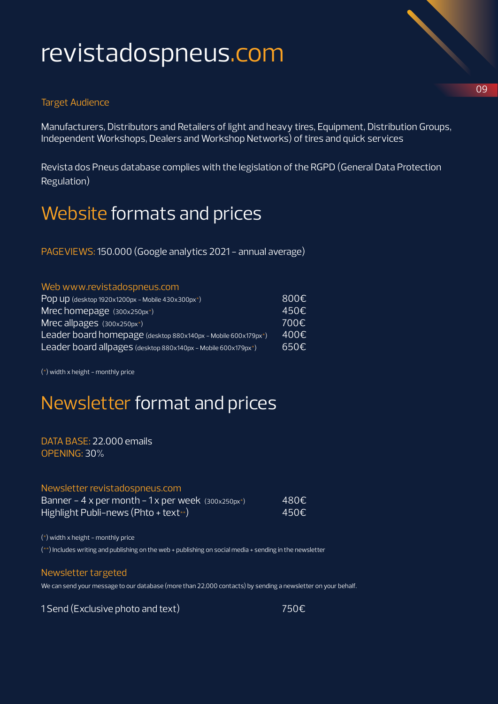## revistadospneus.com

#### Target Audience

Manufacturers, Distributors and Retailers of light and heavy tires, Equipment, Distribution Groups, Independent Workshops, Dealers and Workshop Networks) of tires and quick services

Revista dos Pneus database complies with the legislation of the RGPD (General Data Protection Regulation)

### Website formats and prices

PAGEVIEWS:150.000 (Google analytics 2021 - annual average)

#### Web www.revistadospneus.com

| Pop up (desktop 1920x1200px - Mobile 430x300px*)              | 800€ |
|---------------------------------------------------------------|------|
| Mrec homepage $(300x250px^*)$                                 | 450€ |
| Mrec allpages $(300 \times 250px^*)$                          | 700€ |
| Leader board homepage (desktop 880x140px - Mobile 600x179px*) | 400€ |
| Leader board allpages (desktop 880x140px - Mobile 600x179px*) | 650€ |

 $(*)$  width x height - monthly price

## Newsletter format and prices

#### DATA BASE: 22.000 emails OPENING: 30%

#### Newsletter revistadospneus.com

| Banner – 4 x per month – 1 x per week $(300 \times 250)$ | 480€ |
|----------------------------------------------------------|------|
| Highlight Publi-news (Phto + text**)                     | 450€ |

 $(*)$  width x height - monthly price

(\*\*) Includes writing and publishing on the web + publishing on social media + sending in the newsletter

#### Newsletter targeted

We can send your message to our database (more than 22,000 contacts) by sending a newsletter on your behalf.

1 Send (Exclusive photo and text)  $750 \in$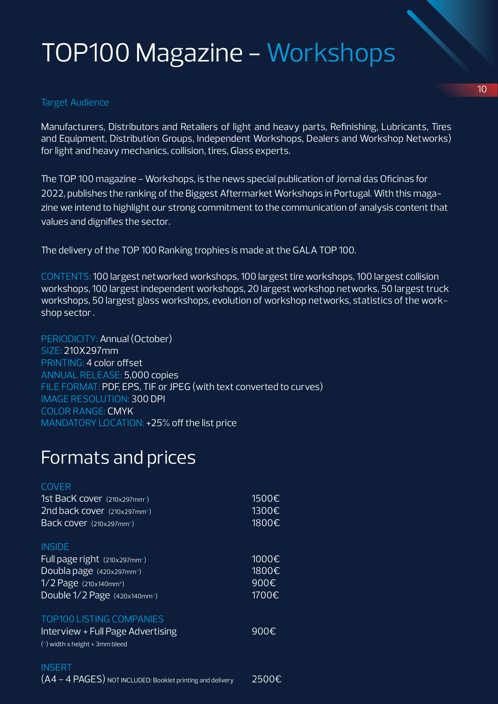## TOP100 Magazine - Workshops

#### Target Audience

Manufacturers, Distributors and Retailers of light and heavy parts, Refinishing, Lubricants, Tires and Equipment, Distribution Groups, Independent Workshops, Dealers and Workshop Networks) for light and heavy mechanics, collision, tires, Glass experts.

The TOP 100 magazine - Workshops, is the news special publication of Jornal das Oficinas for 2022, publishes the ranking of the Biggest Aftermarket Workshops in Portugal. With this magazine we intend to highlight our strong commitment to the communication of analysis content that values and dignifies the sector.

The delivery of the TOP 100 Ranking trophies is made at the GALA TOP 100.

CONTENTS:100 largest networked workshops, 100 largest tire workshops, 100 largest collision workshops, 100 largest independent workshops, 20 largest workshop networks, 50 largest truck workshops, 50 largest glass workshops, evolution of workshop networks, statistics of the workshop sector .

PERIODICITY: Annual (October) SIZE: 210X297mm PRINTING: 4 color offset ANNUAL RELEASE: 5,000 copies FILE FORMAT: PDF, EPS, TIF or JPEG (with text converted to curves) IMAGE RESOLUTION: 300 DPI COLOR RANGE: CMYK MANDATORY LOCATION: +25% off the list price

## Formats and prices

| <b>COVER</b><br>1st Back cover (210x297mm*)<br>2nd back cover (210x297mm*)<br>Back cover (210x297mm*)                                | 1500€<br>1300€<br>1800€         |
|--------------------------------------------------------------------------------------------------------------------------------------|---------------------------------|
| <b>INSIDE</b><br>Full page right (210x297mm*)<br>Doubla page (420x297mm*)<br>1/2 Page (210x140mm*)<br>Double $1/2$ Page (420x140mm*) | 1000€<br>1800€<br>900€<br>1700€ |
| <b>TOP100 LISTING COMPANIES</b><br>Interview + Full Page Advertising<br>$(*)$ width x height + 3mm bleed                             | 900€                            |

 $(A4 - 4$  PAGES) NOT INCLUDED: Booklet printing and delivery 2500 $\epsilon$ 

INSERT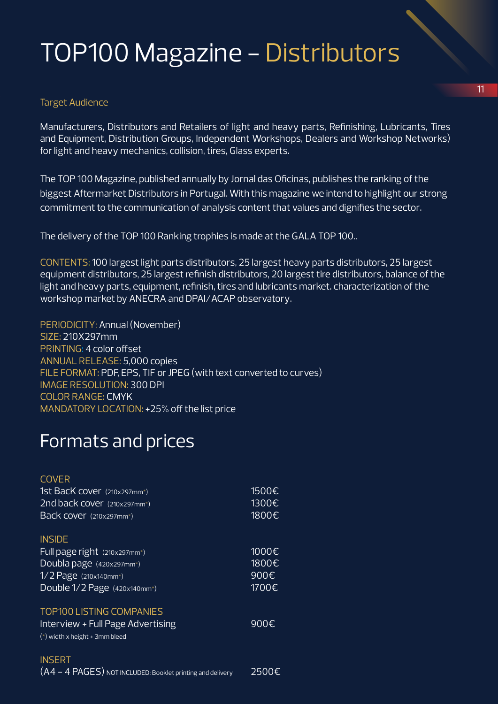## TOP100 Magazine - Distributors

#### Target Audience

Manufacturers, Distributors and Retailers of light and heavy parts, Refinishing, Lubricants, Tires and Equipment, Distribution Groups, Independent Workshops, Dealers and Workshop Networks) for light and heavy mechanics, collision, tires, Glass experts.

The TOP 100 Magazine, published annually by Jornal das Oficinas, publishes the ranking of the biggest Aftermarket Distributors in Portugal. With this magazine we intend to highlight our strong commitment to the communication of analysis content that values and dignifies the sector.

The delivery of the TOP 100 Ranking trophies is made at the GALA TOP 100..

CONTENTS:100 largest light parts distributors, 25 largest heavy parts distributors, 25 largest equipment distributors, 25 largest refinish distributors, 20 largest tire distributors, balance of the light and heavy parts, equipment, refinish, tires and lubricants market. characterization of the workshop market by ANECRA and DPAI/ACAP observatory.

PERIODICITY: Annual (November) SIZE: 210X297mm PRINTING: 4 color offset ANNUAL RELEASE: 5,000 copies FILE FORMAT: PDF, EPS, TIF or JPEG (with text converted to curves) IMAGE RESOLUTION: 300 DPI COLOR RANGE: CMYK MANDATORY LOCATION: +25% off the list price

### Formats and prices

| <b>COVER</b><br>1st Back cover (210x297mm*)<br>2nd back cover (210x297mm*)<br>Back cover (210x297mm <sup>*</sup> )                                  | 1500€<br>1300€<br>1800€         |
|-----------------------------------------------------------------------------------------------------------------------------------------------------|---------------------------------|
| <b>INSIDE</b><br>Full page right (210x297mm*)<br>Doubla page (420x297mm*)<br>$1/2$ Page (210x140mm*)<br>Double $1/2$ Page (420x140mm <sup>*</sup> ) | 1000€<br>1800€<br>900€<br>1700€ |
| <b>TOP100 LISTING COMPANIES</b><br>Interview + Full Page Advertising<br>$(*)$ width x height + 3mm bleed                                            | 900€                            |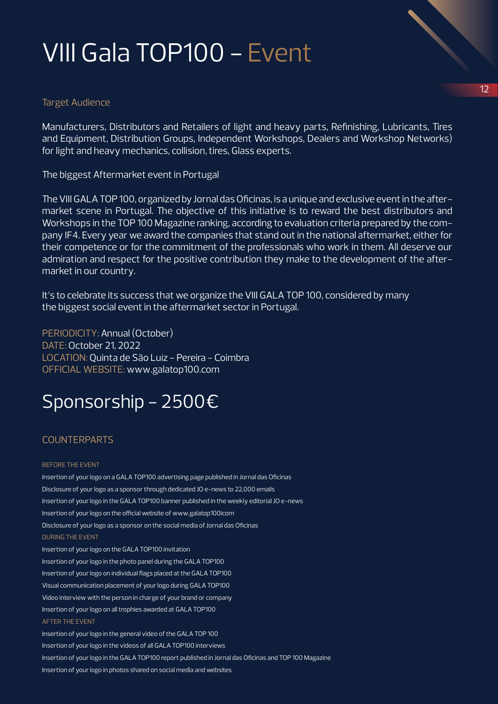## VIII Gala TOP100 - Event

#### Target Audience

Manufacturers, Distributors and Retailers of light and heavy parts, Refinishing, Lubricants, Tires and Equipment, Distribution Groups, Independent Workshops, Dealers and Workshop Networks) for light and heavy mechanics, collision, tires, Glass experts.

The biggest Aftermarket event in Portugal

The VIII GALA TOP 100, organized by Jornal das Oficinas, is a unique and exclusive event in the aftermarket scene in Portugal. The objective of this initiative is to reward the best distributors and Workshops in the TOP 100 Magazine ranking, according to evaluation criteria prepared by the company IF4. Every year we award the companies that stand out in the national aftermarket, either for their competence or for the commitment of the professionals who work in them. All deserve our admiration and respect for the positive contribution they make to the development of the aftermarket in our country.

It's to celebrate its success that we organize the VIII GALA TOP 100, considered by many the biggest social event in the aftermarket sector in Portugal.

PERIODICITY: Annual (October) DATE: October 21, 2022 LOCATION: Quinta de São Luíz - Pereira - Coimbra OFFICIAL WEBSITE: www.galatop100.com

### Sponsorship - 2500€

#### COUNTERPARTS

#### BEFORE THE EVENT

Insertion of your logo on a GALA TOP100 advertising page published in Jornal das Oficinas Disclosure of your logo as a sponsor through dedicated JO e-news to 22,000 emails Insertion of your logo in the GALA TOP100 banner published in the weekly editorial JO e-news Insertion of your logo on the official website of www.galatop100icom Disclosure of your logo as a sponsor on the social media of Jornal das Oficinas DURING THE EVENT Insertion of your logo on the GALA TOP100 invitation Insertion of your logo in the photo panel during the GALA TOP100 Insertion of your logo on individual flags placed at the GALA TOP100 Visual communication placement of your logo during GALA TOP100 Video interview with the person in charge of your brand or company Insertion of your logo on all trophies awarded at GALA TOP100 AFTER THE EVENT Insertion of your logo in the general video of the GALA TOP 100 Insertion of your logo in the videos of all GALA TOP100 interviews Insertion of your logo in the GALA TOP100 report published in Jornal das Oficinas and TOP 100 Magazine Insertion of your logo in photos shared on social media and websites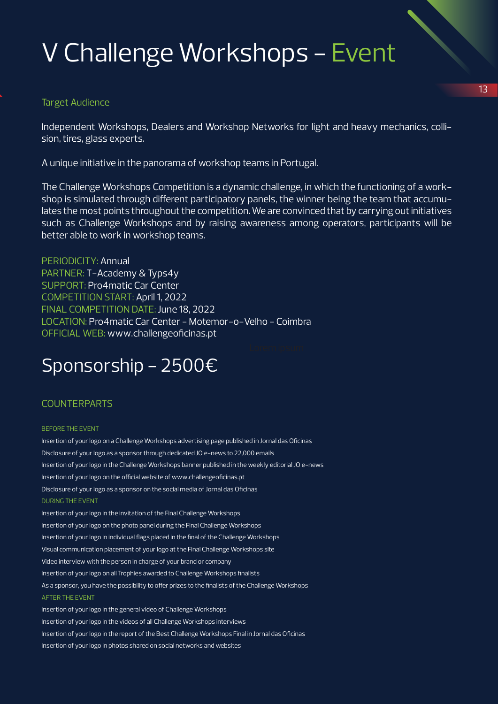## V Challenge Workshops - Event

#### Target Audience

Independent Workshops, Dealers and Workshop Networks for light and heavy mechanics, collision, tires, glass experts.

A unique initiative in the panorama of workshop teams in Portugal.

The Challenge Workshops Competition is a dynamic challenge, in which the functioning of a workshop is simulated through different participatory panels, the winner being the team that accumulates the most points throughout the competition. We are convinced that by carrying out initiatives such as Challenge Workshops and by raising awareness among operators, participants will be better able to work in workshop teams.

PERIODICITY: Annual PARTNER: T-Academy & Typs4y SUPPORT: Pro4matic Car Center COMPETITION START: April 1, 2022 FINAL COMPETITION DATE: June 18, 2022 LOCATION: Pro4matic Car Center - Motemor-o-Velho - Coimbra OFFICIAL WEB: www.challengeoficinas.pt

## Sponsorship - 2500€

#### COUNTERPARTS

#### BEFORE THE EVENT

Insertion of your logo on a Challenge Workshops advertising page published in Jornal das Oficinas Disclosure of your logo as a sponsor through dedicated JO e-news to 22,000 emails Insertion of your logo in the Challenge Workshops banner published in the weekly editorial JO e-news Insertion of your logo on the official website of www.challengeoficinas.pt Disclosure of your logo as a sponsor on the social media of Jornal das Oficinas DURING THE EVENT Insertion of your logo in the invitation of the Final Challenge Workshops Insertion of your logo on the photo panel during the Final Challenge Workshops Insertion of your logo in individual flags placed in the final of the Challenge Workshops Visual communication placement of your logo at the Final Challenge Workshops site Video interview with the person in charge of your brand or company Insertion of your logo on all Trophies awarded to Challenge Workshops finalists As a sponsor, you have the possibility to offer prizes to the finalists of the Challenge Workshops AFTER THE EVENT Insertion of your logo in the general video of Challenge Workshops Insertion of your logo in the videos of all Challenge Workshops interviews Insertion of your logo in the report of the Best Challenge Workshops Final in Jornal das Oficinas

Insertion of your logo in photos shared on social networks and websites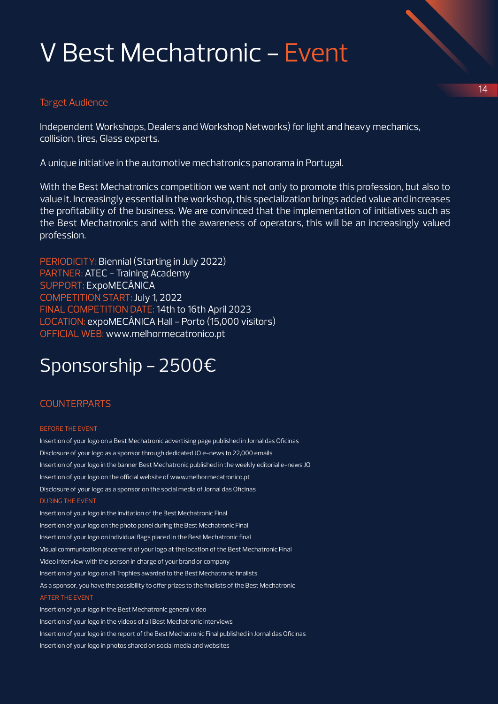## V Best Mechatronic - Event

#### Target Audience

Independent Workshops, Dealers and Workshop Networks) for light and heavy mechanics, collision, tires, Glass experts.

A unique initiative in the automotive mechatronics panorama in Portugal.

With the Best Mechatronics competition we want not only to promote this profession, but also to value it. Increasingly essential in the workshop, this specialization brings added value and increases the profitability of the business. We are convinced that the implementation of initiatives such as the Best Mechatronics and with the awareness of operators, this will be an increasingly valued profession.

PERIODICITY: Biennial (Starting in July 2022) PARTNER: ATEC - Training Academy SUPPORT: ExpoMECÂNICA COMPETITION START: July 1, 2022 FINAL COMPETITION DATE: 14th to 16th April 2023 LOCATION: expoMECÂNICA Hall - Porto (15,000 visitors) OFFICIAL WEB: www.melhormecatronico.pt

### Sponsorship - 2500 $\epsilon$

#### COUNTERPARTS

#### BEFORE THE EVENT

Insertion of your logo on a Best Mechatronic advertising page published in Jornal das Oficinas Disclosure of your logo as a sponsor through dedicated JO e-news to 22,000 emails Insertion of your logo in the banner Best Mechatronic published in the weekly editorial e-news JO Insertion of your logo on the official website of www.melhormecatronico.pt Disclosure of your logo as a sponsor on the social media of Jornal das Oficinas DURING THE EVENT Insertion of your logo in the invitation of the Best Mechatronic Final Insertion of your logo on the photo panel during the Best Mechatronic Final Insertion of your logo on individual flags placed in the Best Mechatronic final Visual communication placement of your logo at the location of the Best Mechatronic Final Video interview with the person in charge of your brand or company Insertion of your logo on all Trophies awarded to the Best Mechatronic finalists As a sponsor, you have the possibility to offer prizes to the finalists of the Best Mechatronic Insertion of your logo in the Best Mechatronic general video Insertion of your logo in the videos of all Best Mechatronic interviews Insertion of your logo in the report of the Best Mechatronic Final published in Jornal das Oficinas

Insertion of your logo in photos shared on social media and websites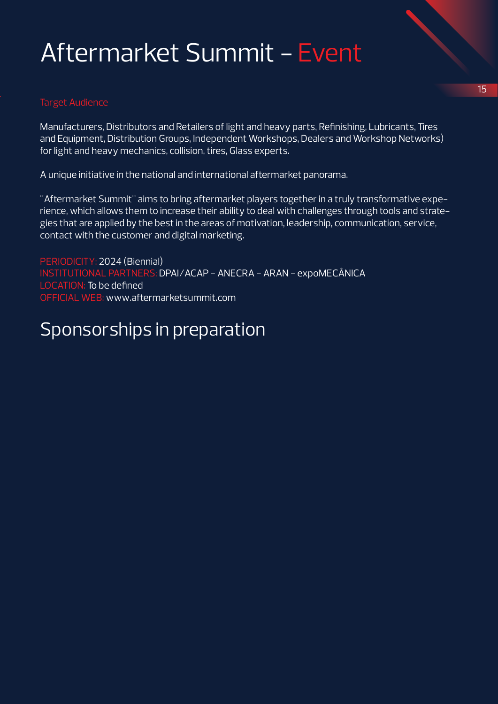## Aftermarket Summit - Event

Manufacturers, Distributors and Retailers of light and heavy parts, Refinishing, Lubricants, Tires and Equipment, Distribution Groups, Independent Workshops, Dealers and Workshop Networks) for light and heavy mechanics, collision, tires, Glass experts.

A unique initiative in the national and international aftermarket panorama.

"Aftermarket Summit" aims to bring aftermarket players together in a truly transformative experience, which allows them to increase their ability to deal with challenges through tools and strategies that are applied by the best in the areas of motivation, leadership, communication, service, contact with the customer and digital marketing.

PERIODICITY: 2024 (Biennial) INSTITUTIONAL PARTNERS: DPAI/ACAP - ANECRA - ARAN - expoMECÂNICA LOCATION: To be defined OFFICIAL WEB: www.aftermarketsummit.com

## Sponsorships in preparation